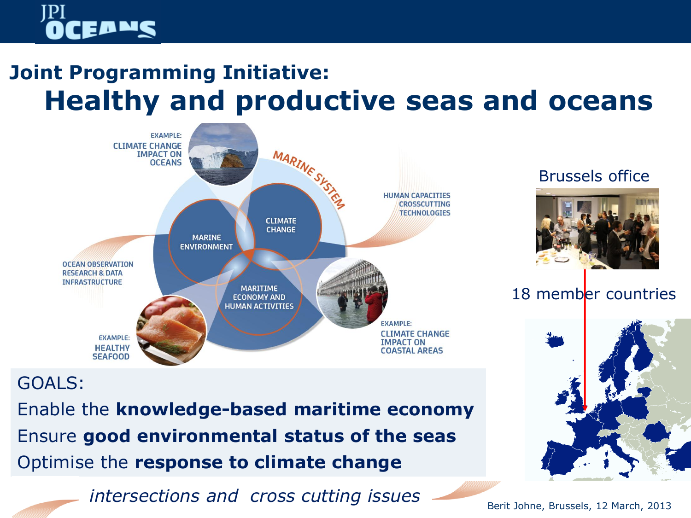# EDWS

## **Joint Programming Initiative: Healthy and productive seas and oceans**



### Brussels office



### 18 member countries



## GOALS:

Enable the **knowledge-based maritime economy** Ensure **good environmental status of the seas** Optimise the **response to climate change**

*intersections and cross cutting issues*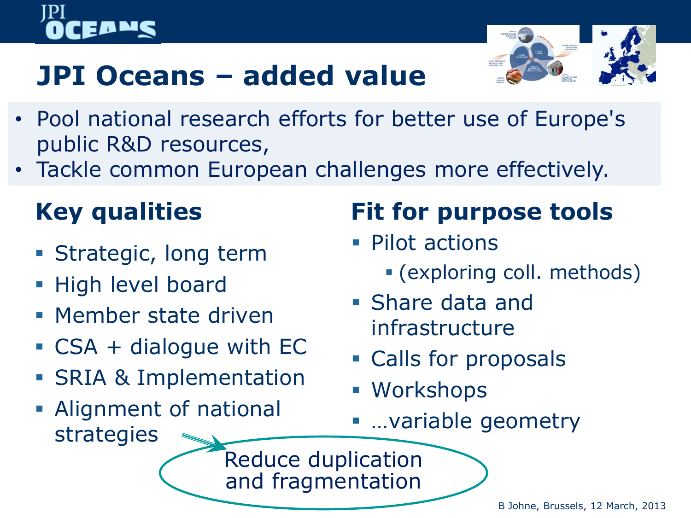

# **JPI Oceans – added value**

- Pool national research efforts for better use of Europe's public R&D resources,
- Tackle common European challenges more effectively.

# **Key qualities**

- **Strategic, long term**
- High level board
- **Member state driven**
- CSA + dialogue with EC
- SRIA & Implementation
- Alignment of national strategies

# **Fit for purpose tools**

- Pilot actions
	- (exploring coll. methods)
- Share data and infrastructure
- **Calls for proposals**
- Workshops
- …variable geometry

Reduce duplication and fragmentation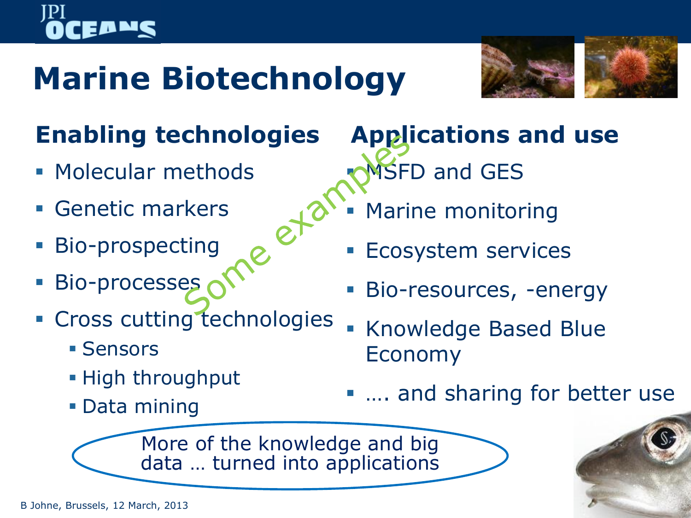# **Marine Biotechnology**



# **Enabling technologies**

- **Molecular methods**
- Genetic markers
- **Bio-prospecting**
- Bio-processes
- **Cross cutting technologies** 
	- **Sensors**
	- **High throughput**
	- Data mining

**Applications and use MSFD and GES** 

- Marine monitoring
- **Ecosystem services**
- Bio-resources, -energy
- Knowledge Based Blue Economy
- .... and sharing for better use

More of the knowledge and big data … turned into applications